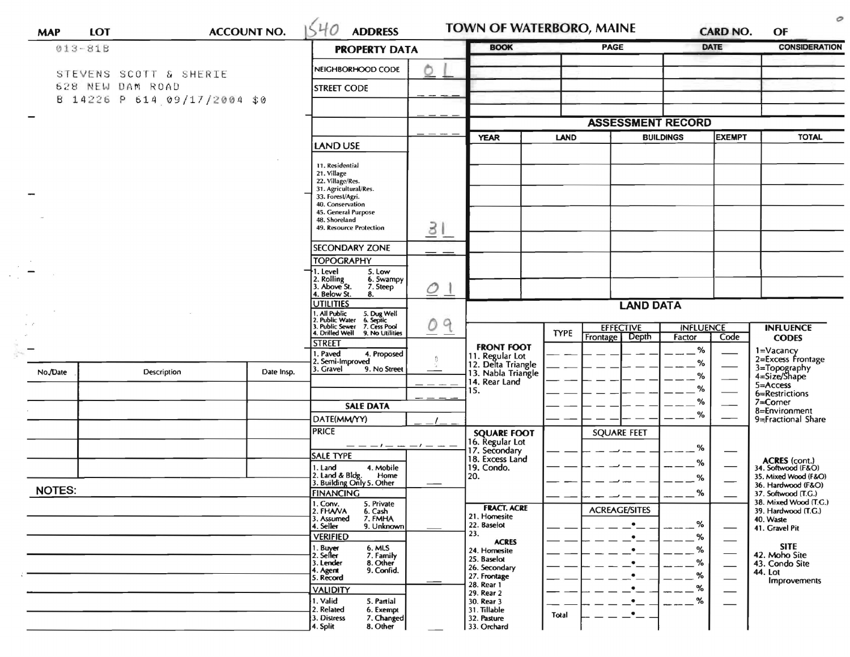| 013-81B       |  |                                            |            | <b>PROPERTY DATA</b>                                                                                               |                | <b>BOOK</b>                           |             | PAGE                               | <b>DATE</b>                |               | <b>CONSIDERATION</b>                         |  |
|---------------|--|--------------------------------------------|------------|--------------------------------------------------------------------------------------------------------------------|----------------|---------------------------------------|-------------|------------------------------------|----------------------------|---------------|----------------------------------------------|--|
|               |  |                                            |            | NEIGHBORHOOD CODE                                                                                                  |                |                                       |             |                                    |                            |               |                                              |  |
|               |  | STEVENS SCOTT & SHERIE<br>628 NEW DAM ROAD |            |                                                                                                                    |                |                                       |             |                                    |                            |               |                                              |  |
|               |  | B 14226 P 614 09/17/2004 \$0               |            | <b>STREET CODE</b>                                                                                                 |                |                                       |             |                                    |                            |               |                                              |  |
|               |  |                                            |            |                                                                                                                    |                |                                       |             |                                    |                            |               |                                              |  |
|               |  |                                            |            |                                                                                                                    |                |                                       |             | <b>ASSESSMENT RECORD</b>           |                            |               |                                              |  |
|               |  |                                            |            | LAND USE                                                                                                           |                | <b>YEAR</b>                           | <b>LAND</b> |                                    | <b>BUILDINGS</b>           | <b>EXEMPT</b> | <b>TOTAL</b>                                 |  |
|               |  |                                            |            |                                                                                                                    |                |                                       |             |                                    |                            |               |                                              |  |
|               |  |                                            |            | 11. Residential<br>21. Village                                                                                     |                |                                       |             |                                    |                            |               |                                              |  |
|               |  |                                            |            | 22. Village/Res.<br>31. Agricultural/Res.                                                                          |                |                                       |             |                                    |                            |               |                                              |  |
|               |  |                                            |            | 33. Forest/Agri.<br>40. Conservation                                                                               |                |                                       |             |                                    |                            |               |                                              |  |
|               |  |                                            |            | 45. General Purpose<br>48. Shoreland                                                                               |                |                                       |             |                                    |                            |               |                                              |  |
|               |  |                                            |            | 49. Resource Protection                                                                                            | 31             |                                       |             |                                    |                            |               |                                              |  |
|               |  |                                            |            | <b>SECONDARY ZONE</b>                                                                                              |                |                                       |             |                                    |                            |               |                                              |  |
|               |  |                                            |            | <b>TOPOGRAPHY</b>                                                                                                  |                |                                       |             |                                    |                            |               |                                              |  |
|               |  |                                            |            | I. Level<br>5. Low<br>6. Swampy                                                                                    |                |                                       |             |                                    |                            |               |                                              |  |
|               |  |                                            |            | 2. Rolling<br>3. Above St.<br>7. Steep<br>4. Below St.<br>8.                                                       | O <sub>1</sub> |                                       |             |                                    |                            |               |                                              |  |
|               |  |                                            |            | <b>UTILITIES</b>                                                                                                   |                | <b>LAND DATA</b>                      |             |                                    |                            |               |                                              |  |
|               |  |                                            |            | 1. All Public<br>2. Public Water<br>3. Public Sewer<br>4. Drilled Well<br>5. Dug Well<br>6. Septic<br>7. Cess Pool | 9<br>0         |                                       |             |                                    |                            |               |                                              |  |
|               |  |                                            |            | 9. No Utilities                                                                                                    | — —            |                                       | TYPE        | <b>EFFECTIVE</b><br>Frontage Depth | <b>INFLUENCE</b><br>Factor | Code          | <b>INFLUENCE</b><br><b>CODES</b>             |  |
|               |  |                                            |            | STREET<br>4. Proposed<br>. Paved                                                                                   |                | <b>FRONT FOOT</b>                     |             |                                    | %                          |               | 1=Vacancy                                    |  |
|               |  |                                            |            | 2. Semi-Improved<br>3. Gravel<br>9. No Street                                                                      |                | 11. Regular Lot<br>12. Delta Triangle |             |                                    | %                          |               | 2=Excess Frontage                            |  |
| No./Date      |  | Description                                | Date Insp. |                                                                                                                    |                | 13. Nabla Triangle<br>14. Rear Land   |             |                                    | ℅                          |               | 3=Topography<br>4=Size/Shape                 |  |
|               |  |                                            |            |                                                                                                                    |                | 15.                                   |             |                                    | ℅                          |               | 5=Access<br>6=Restrictions                   |  |
|               |  |                                            |            | <b>SALE DATA</b>                                                                                                   |                |                                       |             |                                    | ℅                          |               | 7=Corner<br>8=Environment                    |  |
|               |  |                                            |            | DATE(MM/YY)                                                                                                        |                |                                       |             |                                    | %                          |               | 9=Fractional Share                           |  |
|               |  |                                            |            | <b>PRICE</b>                                                                                                       |                | <b>SQUARE FOOT</b>                    |             | <b>SQUARE FEET</b>                 |                            |               |                                              |  |
|               |  |                                            |            | <b>SALE TYPE</b>                                                                                                   |                | 16. Regular Lot                       |             |                                    | %                          |               |                                              |  |
|               |  |                                            |            | 4. Mobile<br>1. Land                                                                                               |                | 18. Excess Land<br>19. Condo.         |             |                                    | %                          |               | ACRES (cont.)<br>34. Softwood (F&O)          |  |
|               |  |                                            |            | 2. Land & Bldg. Home<br>3. Building Only 5. Other<br>Home                                                          |                | 20.                                   |             |                                    | %                          |               | 35. Mixed Wood (F&O)<br>36. Hardwood (F&O)   |  |
| <b>NOTES:</b> |  |                                            |            | <b>FINANCING</b>                                                                                                   |                |                                       |             |                                    | %                          |               | 37. Softwood (T.G.)                          |  |
|               |  |                                            |            | 1. Conv.<br>5. Private<br>2. FHAVA<br>6. Cash                                                                      |                | <b>FRACT. ACRE</b>                    |             | <b>ACREAGE/SITES</b>               |                            |               | 38. Mixed Wood (T.G.)<br>39. Hardwood (T.G.) |  |
|               |  |                                            |            | 3. Assumed<br>7. FMHA<br>4. Seller<br>9. Unknown                                                                   |                | 21. Homesite<br>22. Baselot           |             |                                    | %                          |               | 40. Waste<br>41. Gravel Pit                  |  |
|               |  |                                            |            | <b>VERIFIED</b>                                                                                                    |                | 23.<br><b>ACRES</b>                   |             |                                    | %                          |               |                                              |  |
|               |  |                                            |            | 1. Buyer<br>2. Seller<br>6. MLS<br>7. Family                                                                       |                | 24. Homesite                          |             |                                    | %                          |               | <b>SITE</b><br>42. Moho Site                 |  |
|               |  |                                            |            | 3. Lender<br>8. Other<br>9. Confid.<br>4. Agent                                                                    |                | 25. Baselot<br>26. Secondary          |             |                                    | %                          |               | 43. Condo Site<br>44. Lot                    |  |
|               |  |                                            |            | 5. Record                                                                                                          |                | 27. Frontage<br>28. Rear 1            |             |                                    | %<br>%                     |               | Improvements                                 |  |
|               |  |                                            |            | <b>VALIDITY</b><br>1. Valid<br>5. Partial                                                                          |                | 29. Rear 2<br>30. Rear 3              |             | $\bullet$                          | %                          |               |                                              |  |
|               |  |                                            |            | 2. Related<br>6. Exempt                                                                                            |                | 31. Tillable                          | Total       | $\bullet$                          |                            |               |                                              |  |
|               |  |                                            |            | 3. Distress<br>7. Changed<br>8. Other<br>4. Split                                                                  |                | 32. Pasture<br>33. Orchard            |             |                                    |                            |               |                                              |  |